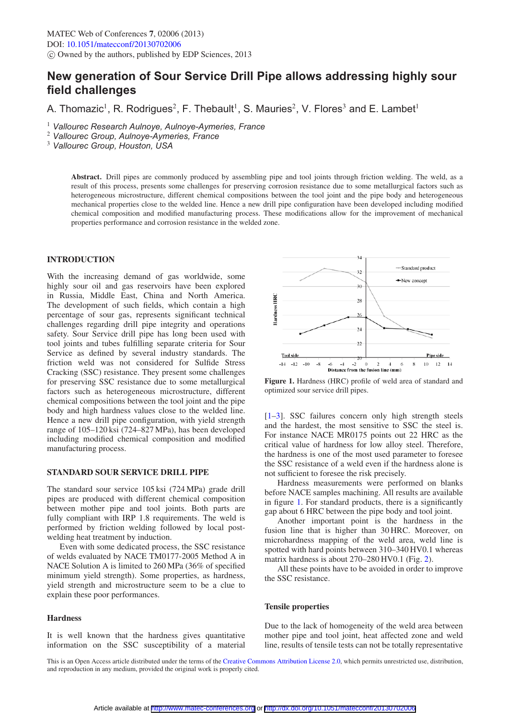# **New generation of Sour Service Drill Pipe allows addressing highly sour field challenges**

A. Thomazic<sup>1</sup>, R. Rodrigues<sup>2</sup>, F. Thebault<sup>1</sup>, S. Mauries<sup>2</sup>, V. Flores<sup>3</sup> and E. Lambet<sup>1</sup>

<sup>1</sup> *Vallourec Research Aulnoye, Aulnoye-Aymeries, France*

<sup>2</sup> *Vallourec Group, Aulnoye-Aymeries, France*

<sup>3</sup> *Vallourec Group, Houston, USA*

**Abstract.** Drill pipes are commonly produced by assembling pipe and tool joints through friction welding. The weld, as a result of this process, presents some challenges for preserving corrosion resistance due to some metallurgical factors such as heterogeneous microstructure, different chemical compositions between the tool joint and the pipe body and heterogeneous mechanical properties close to the welded line. Hence a new drill pipe configuration have been developed including modified chemical composition and modified manufacturing process. These modifications allow for the improvement of mechanical properties performance and corrosion resistance in the welded zone.

## **INTRODUCTION**

With the increasing demand of gas worldwide, some highly sour oil and gas reservoirs have been explored in Russia, Middle East, China and North America. The development of such fields, which contain a high percentage of sour gas, represents significant technical challenges regarding drill pipe integrity and operations safety. Sour Service drill pipe has long been used with tool joints and tubes fulfilling separate criteria for Sour Service as defined by several industry standards. The friction weld was not considered for Sulfide Stress Cracking (SSC) resistance. They present some challenges for preserving SSC resistance due to some metallurgical factors such as heterogeneous microstructure, different chemical compositions between the tool joint and the pipe body and high hardness values close to the welded line. Hence a new drill pipe configuration, with yield strength range of 105–120 ksi (724–827 MPa), has been developed including modified chemical composition and modified manufacturing process.

#### **STANDARD SOUR SERVICE DRILL PIPE**

The standard sour service 105 ksi (724 MPa) grade drill pipes are produced with different chemical composition between mother pipe and tool joints. Both parts are fully compliant with IRP 1.8 requirements. The weld is performed by friction welding followed by local postwelding heat treatment by induction.

Even with some dedicated process, the SSC resistance of welds evaluated by NACE TM0177-2005 Method A in NACE Solution A is limited to 260 MPa (36% of specified minimum yield strength). Some properties, as hardness, yield strength and microstructure seem to be a clue to explain these poor performances.

#### **Hardness**

It is well known that the hardness gives quantitative information on the SSC susceptibility of a material

<span id="page-0-0"></span>

**Figure 1.** Hardness (HRC) profile of weld area of standard and optimized sour service drill pipes.

[\[1](#page-2-0)[–3](#page-2-1)]. SSC failures concern only high strength steels and the hardest, the most sensitive to SSC the steel is. For instance NACE MR0175 points out 22 HRC as the critical value of hardness for low alloy steel. Therefore, the hardness is one of the most used parameter to foresee the SSC resistance of a weld even if the hardness alone is not sufficient to foresee the risk precisely.

Hardness measurements were performed on blanks before NACE samples machining. All results are available in figure [1.](#page-0-0) For standard products, there is a significantly gap about 6 HRC between the pipe body and tool joint.

Another important point is the hardness in the fusion line that is higher than 30 HRC. Moreover, on microhardness mapping of the weld area, weld line is spotted with hard points between 310–340 HV0.1 whereas matrix hardness is about 270–280 HV0.1 (Fig. [2\)](#page-1-0).

All these points have to be avoided in order to improve the SSC resistance.

#### **Tensile properties**

Due to the lack of homogeneity of the weld area between mother pipe and tool joint, heat affected zone and weld line, results of tensile tests can not be totally representative

This is an Open Access article distributed under the terms of the [Creative Commons Attribution License 2.0,](http://creativecommons.org/licenses/by/2.0/) which permits unrestricted use, distribution, and reproduction in any medium, provided the original work is properly cited.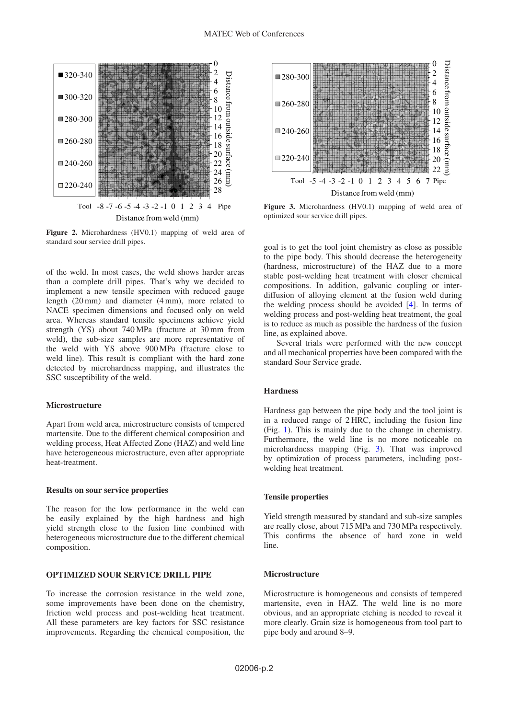<span id="page-1-0"></span>

**Figure 2.** Microhardness (HV0.1) mapping of weld area of standard sour service drill pipes.

of the weld. In most cases, the weld shows harder areas than a complete drill pipes. That's why we decided to implement a new tensile specimen with reduced gauge length (20 mm) and diameter (4 mm), more related to NACE specimen dimensions and focused only on weld area. Whereas standard tensile specimens achieve yield strength (YS) about 740 MPa (fracture at 30 mm from weld), the sub-size samples are more representative of the weld with YS above 900 MPa (fracture close to weld line). This result is compliant with the hard zone detected by microhardness mapping, and illustrates the SSC susceptibility of the weld.

### **Microstructure**

Apart from weld area, microstructure consists of tempered martensite. Due to the different chemical composition and welding process, Heat Affected Zone (HAZ) and weld line have heterogeneous microstructure, even after appropriate heat-treatment.

#### **Results on sour service properties**

The reason for the low performance in the weld can be easily explained by the high hardness and high yield strength close to the fusion line combined with heterogeneous microstructure due to the different chemical composition.

#### **OPTIMIZED SOUR SERVICE DRILL PIPE**

To increase the corrosion resistance in the weld zone, some improvements have been done on the chemistry, friction weld process and post-welding heat treatment. All these parameters are key factors for SSC resistance improvements. Regarding the chemical composition, the

<span id="page-1-1"></span>

**Figure 3.** Microhardness (HV0.1) mapping of weld area of optimized sour service drill pipes.

goal is to get the tool joint chemistry as close as possible to the pipe body. This should decrease the heterogeneity (hardness, microstructure) of the HAZ due to a more stable post-welding heat treatment with closer chemical compositions. In addition, galvanic coupling or interdiffusion of alloying element at the fusion weld during the welding process should be avoided [\[4\]](#page-2-2). In terms of welding process and post-welding heat treatment, the goal is to reduce as much as possible the hardness of the fusion line, as explained above.

Several trials were performed with the new concept and all mechanical properties have been compared with the standard Sour Service grade.

#### **Hardness**

Hardness gap between the pipe body and the tool joint is in a reduced range of 2 HRC, including the fusion line (Fig. [1\)](#page-0-0). This is mainly due to the change in chemistry. Furthermore, the weld line is no more noticeable on microhardness mapping (Fig. [3\)](#page-1-1). That was improved by optimization of process parameters, including postwelding heat treatment.

#### **Tensile properties**

Yield strength measured by standard and sub-size samples are really close, about 715 MPa and 730 MPa respectively. This confirms the absence of hard zone in weld line.

#### **Microstructure**

Microstructure is homogeneous and consists of tempered martensite, even in HAZ. The weld line is no more obvious, and an appropriate etching is needed to reveal it more clearly. Grain size is homogeneous from tool part to pipe body and around 8–9.